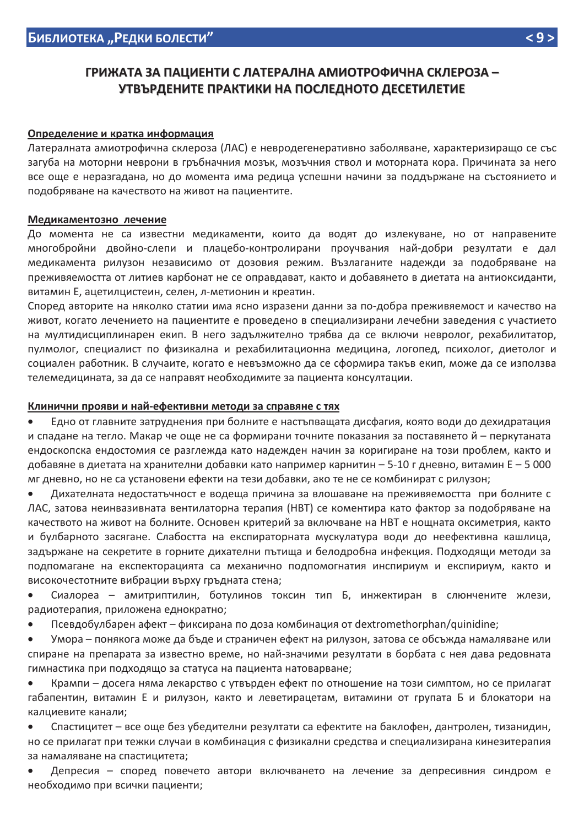# ГРИЖАТА ЗА ПАЦИЕНТИ С ЛАТЕРАЛНА АМИОТРОФИЧНА СКЛЕРОЗА -УТВЪРДЕНИТЕ ПРАКТИКИ НА ПОСЛЕДНОТО ДЕСЕТИЛЕТИЕ

### Определение и кратка информация

Латералната амиотрофична склероза (ЛАС) е невродегенеративно заболяване, характеризиращо се със загуба на моторни неврони в гръбначния мозък, мозъчния ствол и моторната кора. Причината за него все още е неразгадана, но до момента има редица успешни начини за поддържане на състоянието и подобряване на качеството на живот на пациентите.

### Медикаментозно лечение

До момента не са известни медикаменти, които да водят до излекуване, но от направените многобройни двойно-слепи и плацебо-контролирани проучвания най-добри резултати е дал медикамента рилузон независимо от дозовия режим. Възлаганите надежди за подобряване на преживяемостта от литиев карбонат не се оправдават, както и добавянето в диетата на антиоксиданти, витамин Е, ацетилцистеин, селен, л-метионин и креатин.

Според авторите на няколко статии има ясно изразени данни за по-добра преживяемост и качество на живот, когато лечението на пациентите е проведено в специализирани лечебни заведения с участието на мултидисциплинарен екип. В него задължително трябва да се включи невролог, рехабилитатор, пулмолог, специалист по физикална и рехабилитационна медицина, логопед, психолог, диетолог и социален работник. В случаите, когато е невъзможно да се сформира такъв екип, може да се използва телемедицината, за да се направят необходимите за пациента консултации.

### Клинични прояви и най-ефективни методи за справяне с тях

Едно от главните затруднения при болните е настъпващата дисфагия, която води до дехидратация и спадане на тегло. Макар че още не са формирани точните показания за поставянето й - перкутаната ендоскопска ендостомия се разглежда като надежден начин за коригиране на този проблем, както и добавяне в диетата на хранителни добавки като например карнитин – 5-10 г дневно, витамин Е – 5 000 мг дневно, но не са установени ефекти на тези добавки, ако те не се комбинират с рилузон;

Дихателната недостатъчност е водеща причина за влошаване на преживяемостта при болните с ЛАС, затова неинвазивната вентилаторна терапия (НВТ) се коментира като фактор за подобряване на качеството на живот на болните. Основен критерий за включване на НВТ е нощната оксиметрия, както и булбарното засягане. Слабостта на експираторната мускулатура води до неефективна кашлица, задържане на секретите в горните дихателни пътища и белодробна инфекция. Подходящи методи за подпомагане на експекторацията са механично подпомогнатия инспириум и експириум, както и високочестотните вибрации върху гръдната стена;

Сиалореа - амитриптилин, ботулинов токсин тип Б, инжектиран в слюнчените жлези, радиотерапия, приложена еднократно;

Псевдобулбарен афект - фиксирана по доза комбинация от dextromethorphan/quinidine;  $\bullet$ 

Умора – понякога може да бъде и страничен ефект на рилузон, затова се обсъжда намаляване или спиране на препарата за известно време, но най-значими резултати в борбата с нея дава редовната гимнастика при подходящо за статуса на пациента натоварване;

Крампи - досега няма лекарство с утвърден ефект по отношение на този симптом, но се прилагат габапентин, витамин Е и рилузон, както и леветирацетам, витамини от групата Б и блокатори на калциевите канали;

Спастицитет – все още без убедителни резултати са ефектите на баклофен, дантролен, тизанидин, но се прилагат при тежки случаи в комбинация с физикални средства и специализирана кинезитерапия за намаляване на спастицитета;

Депресия - според повечето автори включването на лечение за депресивния синдром е необходимо при всички пациенти;